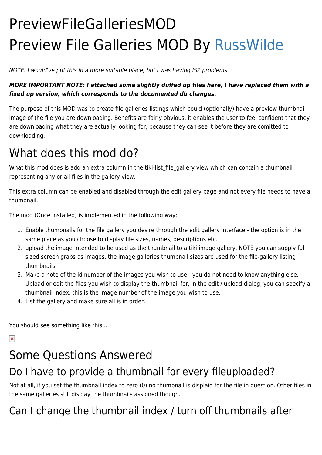# PreviewFileGalleriesMOD Preview File Galleries MOD By [RussWilde](https://tiki.org/UserPageRussWilde)

NOTE: I would've put this in a more suitable place, but I was having ISP problems

#### *MORE IMPORTANT NOTE: I attached some slightly duffed up files here, I have replaced them with a fixed up version, which corresponds to the documented db changes.*

The purpose of this MOD was to create file galleries listings which could (optionally) have a preview thumbnail image of the file you are downloading. Benefits are fairly obvious, it enables the user to feel confident that they are downloading what they are actually looking for, because they can see it before they are comitted to downloading.

# What does this mod do?

What this mod does is add an extra column in the tiki-list file gallery view which can contain a thumbnail representing any or all files in the gallery view.

This extra column can be enabled and disabled through the edit gallery page and not every file needs to have a thumbnail.

The mod (Once installed) is implemented in the following way;

- 1. Enable thumbnails for the file gallery you desire through the edit gallery interface the option is in the same place as you choose to display file sizes, names, descriptions etc.
- 2. upload the image intended to be used as the thumbnail to a tiki image gallery, NOTE you can supply full sized screen grabs as images, the image galleries thumbnail sizes are used for the file-gallery listing thumbnails.
- 3. Make a note of the id number of the images you wish to use you do not need to know anything else. Upload or edit the files you wish to display the thumbnail for, in the edit / upload dialog, you can specify a thumbnail index, this is the image number of the image you wish to use.
- 4. List the gallery and make sure all is in order.

You should see something like this...

 $\pmb{\times}$ 

# Some Questions Answered

### Do I have to provide a thumbnail for every fileuploaded?

Not at all, if you set the thumbnail index to zero (0) no thumbnail is displaid for the file in question. Other files in the same galleries still display the thumbnails assigned though.

### Can I change the thumbnail index / turn off thumbnails after